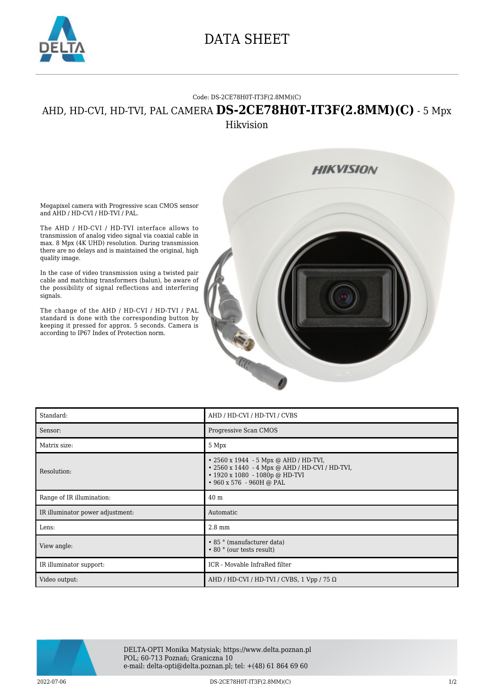

## DATA SHEET

## Code: DS-2CE78H0T-IT3F(2.8MM)(C)

## AHD, HD-CVI, HD-TVI, PAL CAMERA **DS-2CE78H0T-IT3F(2.8MM)(C)** - 5 Mpx Hikvision

Megapixel camera with Progressive scan CMOS sensor and AHD / HD-CVI / HD-TVI / PAL.

The AHD / HD-CVI / HD-TVI interface allows to transmission of analog video signal via coaxial cable in max. 8 Mpx (4K UHD) resolution. During transmission there are no delays and is maintained the original, high quality image.

In the case of video transmission using a twisted pair cable and matching transformers (balun), be aware of the possibility of signal reflections and interfering signals.

The change of the AHD / HD-CVI / HD-TVI / PAL standard is done with the corresponding button by keeping it pressed for approx. 5 seconds. Camera is according to IP67 Index of Protection norm.



| Standard:                        | AHD / HD-CVI / HD-TVI / CVBS                                                                                                                                            |
|----------------------------------|-------------------------------------------------------------------------------------------------------------------------------------------------------------------------|
| Sensor:                          | Progressive Scan CMOS                                                                                                                                                   |
| Matrix size:                     | 5 Mpx                                                                                                                                                                   |
| Resolution:                      | $\cdot$ 2560 x 1944 - 5 Mpx @ AHD / HD-TVI,<br>• 2560 x 1440 - 4 Mpx @ AHD / HD-CVI / HD-TVI,<br>$\cdot$ 1920 x 1080 - 1080p @ HD-TVI<br>$\cdot$ 960 x 576 - 960H @ PAL |
| Range of IR illumination:        | 40 <sub>m</sub>                                                                                                                                                         |
| IR illuminator power adjustment: | Automatic                                                                                                                                                               |
| Lens:                            | $2.8 \text{ mm}$                                                                                                                                                        |
| View angle:                      | • 85 ° (manufacturer data)<br>• 80 ° (our tests result)                                                                                                                 |
| IR illuminator support:          | ICR - Movable InfraRed filter                                                                                                                                           |
| Video output:                    | AHD / HD-CVI / HD-TVI / CVBS, $1$ Vpp / 75 $\Omega$                                                                                                                     |



DELTA-OPTI Monika Matysiak; https://www.delta.poznan.pl POL; 60-713 Poznań; Graniczna 10 e-mail: delta-opti@delta.poznan.pl; tel: +(48) 61 864 69 60